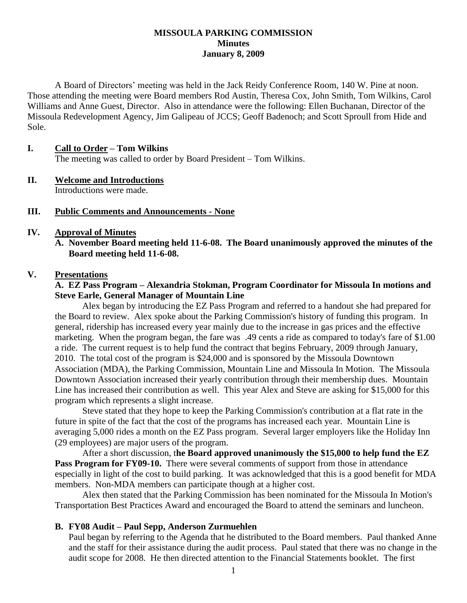#### **MISSOULA PARKING COMMISSION Minutes January 8, 2009**

A Board of Directors' meeting was held in the Jack Reidy Conference Room, 140 W. Pine at noon. Those attending the meeting were Board members Rod Austin, Theresa Cox, John Smith, Tom Wilkins, Carol Williams and Anne Guest, Director. Also in attendance were the following: Ellen Buchanan, Director of the Missoula Redevelopment Agency, Jim Galipeau of JCCS; Geoff Badenoch; and Scott Sproull from Hide and Sole.

#### **I. Call to Order – Tom Wilkins**

The meeting was called to order by Board President – Tom Wilkins.

#### **II. Welcome and Introductions** Introductions were made.

#### **III. Public Comments and Announcements - None**

### **IV. Approval of Minutes**

**A. November Board meeting held 11-6-08. The Board unanimously approved the minutes of the Board meeting held 11-6-08.**

#### **V. Presentations**

### **A. EZ Pass Program – Alexandria Stokman, Program Coordinator for Missoula In motions and Steve Earle, General Manager of Mountain Line**

Alex began by introducing the EZ Pass Program and referred to a handout she had prepared for the Board to review. Alex spoke about the Parking Commission's history of funding this program. In general, ridership has increased every year mainly due to the increase in gas prices and the effective marketing. When the program began, the fare was .49 cents a ride as compared to today's fare of \$1.00 a ride. The current request is to help fund the contract that begins February, 2009 through January, 2010. The total cost of the program is \$24,000 and is sponsored by the Missoula Downtown Association (MDA), the Parking Commission, Mountain Line and Missoula In Motion. The Missoula Downtown Association increased their yearly contribution through their membership dues. Mountain Line has increased their contribution as well. This year Alex and Steve are asking for \$15,000 for this program which represents a slight increase.

Steve stated that they hope to keep the Parking Commission's contribution at a flat rate in the future in spite of the fact that the cost of the programs has increased each year. Mountain Line is averaging 5,000 rides a month on the EZ Pass program. Several larger employers like the Holiday Inn (29 employees) are major users of the program.

After a short discussion, t**he Board approved unanimously the \$15,000 to help fund the EZ Pass Program for FY09-10.** There were several comments of support from those in attendance especially in light of the cost to build parking. It was acknowledged that this is a good benefit for MDA members. Non-MDA members can participate though at a higher cost.

Alex then stated that the Parking Commission has been nominated for the Missoula In Motion's Transportation Best Practices Award and encouraged the Board to attend the seminars and luncheon.

### **B. FY08 Audit – Paul Sepp, Anderson Zurmuehlen**

Paul began by referring to the Agenda that he distributed to the Board members. Paul thanked Anne and the staff for their assistance during the audit process. Paul stated that there was no change in the audit scope for 2008. He then directed attention to the Financial Statements booklet. The first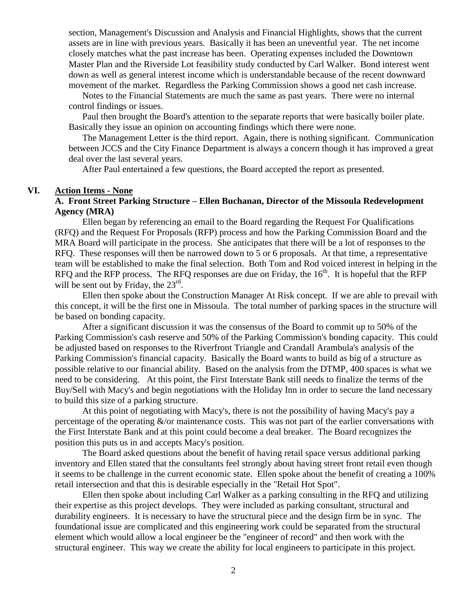section, Management's Discussion and Analysis and Financial Highlights, shows that the current assets are in line with previous years. Basically it has been an uneventful year. The net income closely matches what the past increase has been. Operating expenses included the Downtown Master Plan and the Riverside Lot feasibility study conducted by Carl Walker. Bond interest went down as well as general interest income which is understandable because of the recent downward movement of the market. Regardless the Parking Commission shows a good net cash increase.

Notes to the Financial Statements are much the same as past years. There were no internal control findings or issues.

Paul then brought the Board's attention to the separate reports that were basically boiler plate. Basically they issue an opinion on accounting findings which there were none.

The Management Letter is the third report. Again, there is nothing significant. Communication between JCCS and the City Finance Department is always a concern though it has improved a great deal over the last several years.

After Paul entertained a few questions, the Board accepted the report as presented.

#### **VI. Action Items - None**

### **A. Front Street Parking Structure – Ellen Buchanan, Director of the Missoula Redevelopment Agency (MRA)**

Ellen began by referencing an email to the Board regarding the Request For Qualifications (RFQ) and the Request For Proposals (RFP) process and how the Parking Commission Board and the MRA Board will participate in the process. She anticipates that there will be a lot of responses to the RFQ. These responses will then be narrowed down to 5 or 6 proposals. At that time, a representative team will be established to make the final selection. Both Tom and Rod voiced interest in helping in the RFQ and the RFP process. The RFQ responses are due on Friday, the  $16<sup>th</sup>$ . It is hopeful that the RFP will be sent out by Friday, the  $23<sup>rd</sup>$ .

Ellen then spoke about the Construction Manager At Risk concept. If we are able to prevail with this concept, it will be the first one in Missoula. The total number of parking spaces in the structure will be based on bonding capacity.

After a significant discussion it was the consensus of the Board to commit up to 50% of the Parking Commission's cash reserve and 50% of the Parking Commission's bonding capacity. This could be adjusted based on responses to the Riverfront Triangle and Crandall Arambula's analysis of the Parking Commission's financial capacity. Basically the Board wants to build as big of a structure as possible relative to our financial ability. Based on the analysis from the DTMP, 400 spaces is what we need to be considering. At this point, the First Interstate Bank still needs to finalize the terms of the Buy/Sell with Macy's and begin negotiations with the Holiday Inn in order to secure the land necessary to build this size of a parking structure.

At this point of negotiating with Macy's, there is not the possibility of having Macy's pay a percentage of the operating  $\&$ /or maintenance costs. This was not part of the earlier conversations with the First Interstate Bank and at this point could become a deal breaker. The Board recognizes the position this puts us in and accepts Macy's position.

The Board asked questions about the benefit of having retail space versus additional parking inventory and Ellen stated that the consultants feel strongly about having street front retail even though it seems to be challenge in the current economic state. Ellen spoke about the benefit of creating a 100% retail intersection and that this is desirable especially in the "Retail Hot Spot".

Ellen then spoke about including Carl Walker as a parking consulting in the RFQ and utilizing their expertise as this project develops. They were included as parking consultant, structural and durability engineers. It is necessary to have the structural piece and the design firm be in sync. The foundational issue are complicated and this engineering work could be separated from the structural element which would allow a local engineer be the "engineer of record" and then work with the structural engineer. This way we create the ability for local engineers to participate in this project.